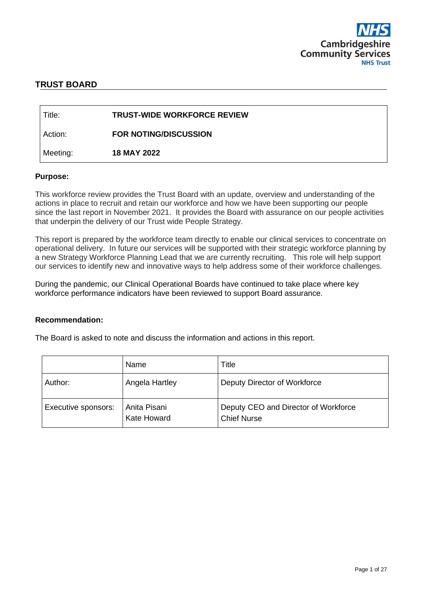

# **TRUST BOARD**

| l Title:  | <b>TRUST-WIDE WORKFORCE REVIEW</b> |
|-----------|------------------------------------|
| ∣ Action: | <b>FOR NOTING/DISCUSSION</b>       |
| Meeting:  | <b>18 MAY 2022</b>                 |

#### **Purpose:**

This workforce review provides the Trust Board with an update, overview and understanding of the actions in place to recruit and retain our workforce and how we have been supporting our people since the last report in November 2021. It provides the Board with assurance on our people activities that underpin the delivery of our Trust wide People Strategy.

This report is prepared by the workforce team directly to enable our clinical services to concentrate on operational delivery. In future our services will be supported with their strategic workforce planning by a new Strategy Workforce Planning Lead that we are currently recruiting. This role will help support our services to identify new and innovative ways to help address some of their workforce challenges.

During the pandemic, our Clinical Operational Boards have continued to take place where key workforce performance indicators have been reviewed to support Board assurance.

#### **Recommendation:**

The Board is asked to note and discuss the information and actions in this report.

|                     | Name                        | Title                                                      |
|---------------------|-----------------------------|------------------------------------------------------------|
| Author:             | Angela Hartley              | Deputy Director of Workforce                               |
| Executive sponsors: | Anita Pisani<br>Kate Howard | Deputy CEO and Director of Workforce<br><b>Chief Nurse</b> |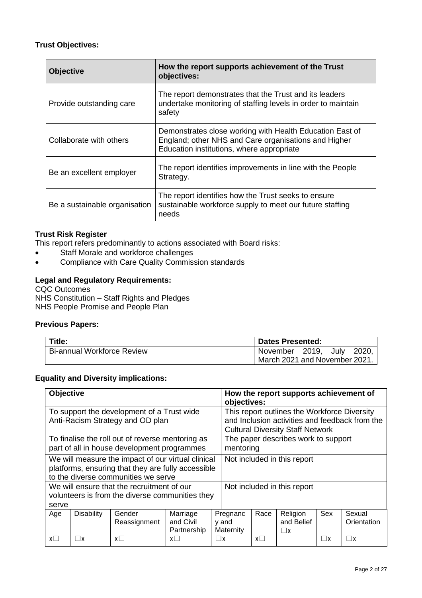# **Trust Objectives:**

| <b>Objective</b>              | How the report supports achievement of the Trust<br>objectives:                                                                                               |
|-------------------------------|---------------------------------------------------------------------------------------------------------------------------------------------------------------|
| Provide outstanding care      | The report demonstrates that the Trust and its leaders<br>undertake monitoring of staffing levels in order to maintain<br>safety                              |
| Collaborate with others       | Demonstrates close working with Health Education East of<br>England; other NHS and Care organisations and Higher<br>Education institutions, where appropriate |
| Be an excellent employer      | The report identifies improvements in line with the People<br>Strategy.                                                                                       |
| Be a sustainable organisation | The report identifies how the Trust seeks to ensure<br>sustainable workforce supply to meet our future staffing<br>needs                                      |

# **Trust Risk Register**

This report refers predominantly to actions associated with Board risks:

- Staff Morale and workforce challenges
- Compliance with Care Quality Commission standards

# **Legal and Regulatory Requirements:**

CQC Outcomes NHS Constitution – Staff Rights and Pledges NHS People Promise and People Plan

# **Previous Papers:**

| Title:                            | <b>Dates Presented:</b>       |  |      |       |
|-----------------------------------|-------------------------------|--|------|-------|
| <b>Bi-annual Workforce Review</b> | November 2019,                |  | July | 2020. |
|                                   | March 2021 and November 2021. |  |      |       |

# **Equality and Diversity implications:**

| <b>Objective</b>                                                                                                                                    |                   |                        |                                      |          | How the report supports achievement of<br>objectives:                                                                                     |            |                                    |          |                       |
|-----------------------------------------------------------------------------------------------------------------------------------------------------|-------------------|------------------------|--------------------------------------|----------|-------------------------------------------------------------------------------------------------------------------------------------------|------------|------------------------------------|----------|-----------------------|
| To support the development of a Trust wide<br>Anti-Racism Strategy and OD plan                                                                      |                   |                        |                                      |          | This report outlines the Workforce Diversity<br>and Inclusion activities and feedback from the<br><b>Cultural Diversity Staff Network</b> |            |                                    |          |                       |
| The paper describes work to support<br>To finalise the roll out of reverse mentoring as<br>part of all in house development programmes<br>mentoring |                   |                        |                                      |          |                                                                                                                                           |            |                                    |          |                       |
| We will measure the impact of our virtual clinical<br>platforms, ensuring that they are fully accessible<br>to the diverse communities we serve     |                   |                        |                                      |          | Not included in this report                                                                                                               |            |                                    |          |                       |
| We will ensure that the recruitment of our<br>volunteers is from the diverse communities they<br>serve                                              |                   |                        |                                      |          |                                                                                                                                           |            | Not included in this report        |          |                       |
| Age                                                                                                                                                 | <b>Disability</b> | Gender<br>Reassignment | Marriage<br>and Civil<br>Partnership |          | Pregnanc<br>y and<br>Maternity                                                                                                            | Race       | Religion<br>and Belief<br>$\Box$ x | Sex      | Sexual<br>Orientation |
| $x\square$                                                                                                                                          |                   | $x \Box$               | $x\Box$                              | $\Box$ x |                                                                                                                                           | $x\square$ |                                    | $\Box$ x | $\Box$ x              |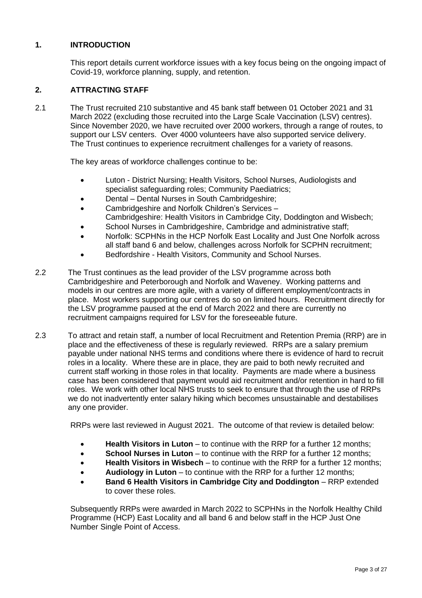# **1. INTRODUCTION**

This report details current workforce issues with a key focus being on the ongoing impact of Covid-19, workforce planning, supply, and retention.

# **2. ATTRACTING STAFF**

2.1 The Trust recruited 210 substantive and 45 bank staff between 01 October 2021 and 31 March 2022 (excluding those recruited into the Large Scale Vaccination (LSV) centres). Since November 2020, we have recruited over 2000 workers, through a range of routes, to support our LSV centers. Over 4000 volunteers have also supported service delivery. The Trust continues to experience recruitment challenges for a variety of reasons.

The key areas of workforce challenges continue to be:

- Luton District Nursing; Health Visitors, School Nurses, Audiologists and specialist safeguarding roles; Community Paediatrics;
- Dental Dental Nurses in South Cambridgeshire;
- Cambridgeshire and Norfolk Children's Services Cambridgeshire: Health Visitors in Cambridge City, Doddington and Wisbech;
- School Nurses in Cambridgeshire, Cambridge and administrative staff;
- Norfolk: SCPHNs in the HCP Norfolk East Locality and Just One Norfolk across all staff band 6 and below, challenges across Norfolk for SCPHN recruitment;
- Bedfordshire Health Visitors, Community and School Nurses.
- 2.2 The Trust continues as the lead provider of the LSV programme across both Cambridgeshire and Peterborough and Norfolk and Waveney. Working patterns and models in our centres are more agile, with a variety of different employment/contracts in place. Most workers supporting our centres do so on limited hours. Recruitment directly for the LSV programme paused at the end of March 2022 and there are currently no recruitment campaigns required for LSV for the foreseeable future.
- 2.3 To attract and retain staff, a number of local Recruitment and Retention Premia (RRP) are in place and the effectiveness of these is regularly reviewed. RRPs are a salary premium payable under national NHS terms and conditions where there is evidence of hard to recruit roles in a locality. Where these are in place, they are paid to both newly recruited and current staff working in those roles in that locality. Payments are made where a business case has been considered that payment would aid recruitment and/or retention in hard to fill roles. We work with other local NHS trusts to seek to ensure that through the use of RRPs we do not inadvertently enter salary hiking which becomes unsustainable and destabilises any one provider.

RRPs were last reviewed in August 2021. The outcome of that review is detailed below:

- **Health Visitors in Luton** to continue with the RRP for a further 12 months;
- **School Nurses in Luton** to continue with the RRP for a further 12 months;
- **Health Visitors in Wisbech** to continue with the RRP for a further 12 months;
- **Audiology in Luton** to continue with the RRP for a further 12 months;
- **Band 6 Health Visitors in Cambridge City and Doddington** RRP extended to cover these roles.

Subsequently RRPs were awarded in March 2022 to SCPHNs in the Norfolk Healthy Child Programme (HCP) East Locality and all band 6 and below staff in the HCP Just One Number Single Point of Access.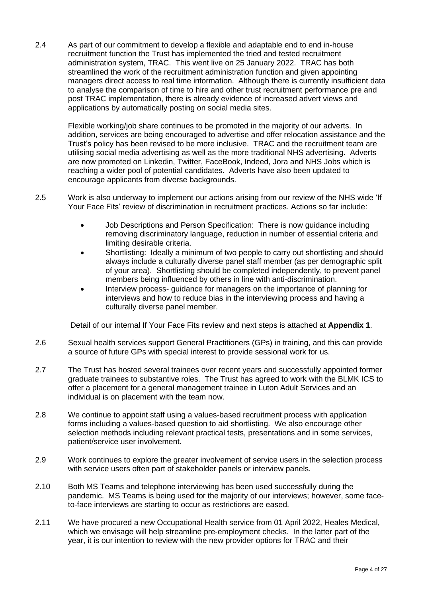2.4 As part of our commitment to develop a flexible and adaptable end to end in-house recruitment function the Trust has implemented the tried and tested recruitment administration system, TRAC. This went live on 25 January 2022. TRAC has both streamlined the work of the recruitment administration function and given appointing managers direct access to real time information. Although there is currently insufficient data to analyse the comparison of time to hire and other trust recruitment performance pre and post TRAC implementation, there is already evidence of increased advert views and applications by automatically posting on social media sites.

Flexible working/job share continues to be promoted in the majority of our adverts. In addition, services are being encouraged to advertise and offer relocation assistance and the Trust's policy has been revised to be more inclusive. TRAC and the recruitment team are utilising social media advertising as well as the more traditional NHS advertising. Adverts are now promoted on Linkedin, Twitter, FaceBook, Indeed, Jora and NHS Jobs which is reaching a wider pool of potential candidates. Adverts have also been updated to encourage applicants from diverse backgrounds.

- 2.5 Work is also underway to implement our actions arising from our review of the NHS wide 'If Your Face Fits' review of discrimination in recruitment practices. Actions so far include:
	- Job Descriptions and Person Specification: There is now guidance including removing discriminatory language, reduction in number of essential criteria and limiting desirable criteria.
	- Shortlisting: Ideally a minimum of two people to carry out shortlisting and should always include a culturally diverse panel staff member (as per demographic split of your area). Shortlisting should be completed independently, to prevent panel members being influenced by others in line with anti-discrimination.
	- Interview process- guidance for managers on the importance of planning for interviews and how to reduce bias in the interviewing process and having a culturally diverse panel member.

Detail of our internal If Your Face Fits review and next steps is attached at **Appendix 1**.

- 2.6 Sexual health services support General Practitioners (GPs) in training, and this can provide a source of future GPs with special interest to provide sessional work for us.
- 2.7 The Trust has hosted several trainees over recent years and successfully appointed former graduate trainees to substantive roles. The Trust has agreed to work with the BLMK ICS to offer a placement for a general management trainee in Luton Adult Services and an individual is on placement with the team now.
- 2.8 We continue to appoint staff using a values-based recruitment process with application forms including a values-based question to aid shortlisting. We also encourage other selection methods including relevant practical tests, presentations and in some services, patient/service user involvement.
- 2.9 Work continues to explore the greater involvement of service users in the selection process with service users often part of stakeholder panels or interview panels.
- 2.10 Both MS Teams and telephone interviewing has been used successfully during the pandemic. MS Teams is being used for the majority of our interviews; however, some faceto-face interviews are starting to occur as restrictions are eased.
- 2.11 We have procured a new Occupational Health service from 01 April 2022, Heales Medical, which we envisage will help streamline pre-employment checks. In the latter part of the year, it is our intention to review with the new provider options for TRAC and their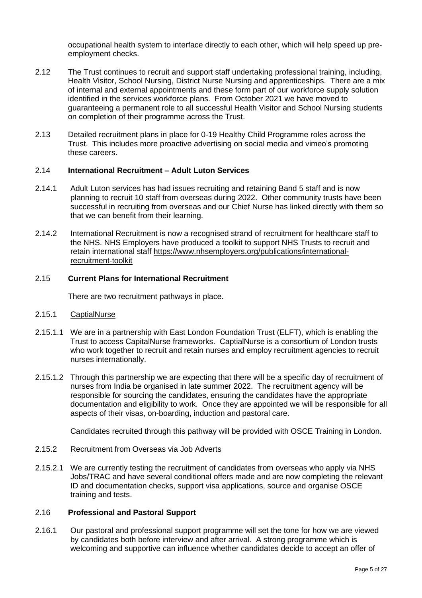occupational health system to interface directly to each other, which will help speed up preemployment checks.

- 2.12 The Trust continues to recruit and support staff undertaking professional training, including, Health Visitor, School Nursing, District Nurse Nursing and apprenticeships. There are a mix of internal and external appointments and these form part of our workforce supply solution identified in the services workforce plans. From October 2021 we have moved to guaranteeing a permanent role to all successful Health Visitor and School Nursing students on completion of their programme across the Trust.
- 2.13 Detailed recruitment plans in place for 0-19 Healthy Child Programme roles across the Trust. This includes more proactive advertising on social media and vimeo's promoting these careers.

#### 2.14 **International Recruitment – Adult Luton Services**

- 2.14.1 Adult Luton services has had issues recruiting and retaining Band 5 staff and is now planning to recruit 10 staff from overseas during 2022. Other community trusts have been successful in recruiting from overseas and our Chief Nurse has linked directly with them so that we can benefit from their learning.
- 2.14.2 International Recruitment is now a recognised strand of recruitment for healthcare staff to the NHS. NHS Employers have produced a toolkit to support NHS Trusts to recruit and retain international staff [https://www.nhsemployers.org/publications/international](https://www.nhsemployers.org/publications/international-recruitment-toolkit)[recruitment-toolkit](https://www.nhsemployers.org/publications/international-recruitment-toolkit)

# 2.15 **Current Plans for International Recruitment**

There are two recruitment pathways in place.

#### 2.15.1 CaptialNurse

- 2.15.1.1 We are in a partnership with East London Foundation Trust (ELFT), which is enabling the Trust to access CapitalNurse frameworks. CaptialNurse is a consortium of London trusts who work together to recruit and retain nurses and employ recruitment agencies to recruit nurses internationally.
- 2.15.1.2 Through this partnership we are expecting that there will be a specific day of recruitment of nurses from India be organised in late summer 2022. The recruitment agency will be responsible for sourcing the candidates, ensuring the candidates have the appropriate documentation and eligibility to work. Once they are appointed we will be responsible for all aspects of their visas, on-boarding, induction and pastoral care.

Candidates recruited through this pathway will be provided with OSCE Training in London.

#### 2.15.2 Recruitment from Overseas via Job Adverts

2.15.2.1 We are currently testing the recruitment of candidates from overseas who apply via NHS Jobs/TRAC and have several conditional offers made and are now completing the relevant ID and documentation checks, support visa applications, source and organise OSCE training and tests.

#### 2.16 **Professional and Pastoral Support**

2.16.1 Our pastoral and professional support programme will set the tone for how we are viewed by candidates both before interview and after arrival. A strong programme which is welcoming and supportive can influence whether candidates decide to accept an offer of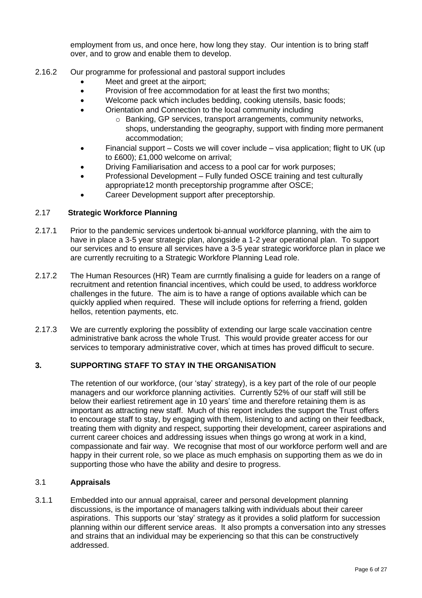employment from us, and once here, how long they stay. Our intention is to bring staff over, and to grow and enable them to develop.

- 2.16.2 Our programme for professional and pastoral support includes
	- Meet and greet at the airport;
	- Provision of free accommodation for at least the first two months;
	- Welcome pack which includes bedding, cooking utensils, basic foods;
		- Orientation and Connection to the local community including
			- o Banking, GP services, transport arrangements, community networks, shops, understanding the geography, support with finding more permanent accommodation;
	- Financial support Costs we will cover include visa application; flight to UK (up to £600); £1,000 welcome on arrival;
	- Driving Familiarisation and access to a pool car for work purposes;
	- Professional Development Fully funded OSCE training and test culturally appropriate12 month preceptorship programme after OSCE;
	- Career Development support after preceptorship.

# 2.17 **Strategic Workforce Planning**

- 2.17.1 Prior to the pandemic services undertook bi-annual worklforce planning, with the aim to have in place a 3-5 year strategic plan, alongside a 1-2 year operational plan. To support our services and to ensure all services have a 3-5 year strategic workforce plan in place we are currently recruiting to a Strategic Workfore Planning Lead role.
- 2.17.2 The Human Resources (HR) Team are currntly finalising a guide for leaders on a range of recruitment and retention financial incentives, which could be used, to address workforce challenges in the future. The aim is to have a range of options available which can be quickly applied when required. These will include options for referring a friend, golden hellos, retention payments, etc.
- 2.17.3 We are currently exploring the possiblity of extending our large scale vaccination centre administrative bank across the whole Trust. This would provide greater access for our services to temporary administrative cover, which at times has proved difficult to secure.

# **3. SUPPORTING STAFF TO STAY IN THE ORGANISATION**

The retention of our workforce, (our 'stay' strategy), is a key part of the role of our people managers and our workforce planning activities. Currently 52% of our staff will still be below their earliest retirement age in 10 years' time and therefore retaining them is as important as attracting new staff. Much of this report includes the support the Trust offers to encourage staff to stay, by engaging with them, listening to and acting on their feedback, treating them with dignity and respect, supporting their development, career aspirations and current career choices and addressing issues when things go wrong at work in a kind, compassionate and fair way. We recognise that most of our workforce perform well and are happy in their current role, so we place as much emphasis on supporting them as we do in supporting those who have the ability and desire to progress.

# 3.1 **Appraisals**

3.1.1 Embedded into our annual appraisal, career and personal development planning discussions, is the importance of managers talking with individuals about their career aspirations. This supports our 'stay' strategy as it provides a solid platform for succession planning within our different service areas. It also prompts a conversation into any stresses and strains that an individual may be experiencing so that this can be constructively addressed.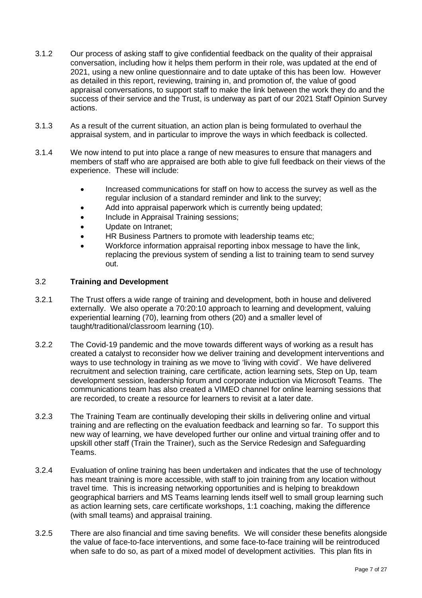- 3.1.2 Our process of asking staff to give confidential feedback on the quality of their appraisal conversation, including how it helps them perform in their role, was updated at the end of 2021, using a new online questionnaire and to date uptake of this has been low. However as detailed in this report, reviewing, training in, and promotion of, the value of good appraisal conversations, to support staff to make the link between the work they do and the success of their service and the Trust, is underway as part of our 2021 Staff Opinion Survey actions.
- 3.1.3 As a result of the current situation, an action plan is being formulated to overhaul the appraisal system, and in particular to improve the ways in which feedback is collected.
- 3.1.4 We now intend to put into place a range of new measures to ensure that managers and members of staff who are appraised are both able to give full feedback on their views of the experience. These will include:
	- Increased communications for staff on how to access the survey as well as the regular inclusion of a standard reminder and link to the survey;
	- Add into appraisal paperwork which is currently being updated;
	- Include in Appraisal Training sessions;
	- Update on Intranet;
	- HR Business Partners to promote with leadership teams etc;
	- Workforce information appraisal reporting inbox message to have the link, replacing the previous system of sending a list to training team to send survey out.

# 3.2 **Training and Development**

- 3.2.1 The Trust offers a wide range of training and development, both in house and delivered externally. We also operate a 70:20:10 approach to learning and development, valuing experiential learning (70), learning from others (20) and a smaller level of taught/traditional/classroom learning (10).
- 3.2.2 The Covid-19 pandemic and the move towards different ways of working as a result has created a catalyst to reconsider how we deliver training and development interventions and ways to use technology in training as we move to 'living with covid'. We have delivered recruitment and selection training, care certificate, action learning sets, Step on Up, team development session, leadership forum and corporate induction via Microsoft Teams. The communications team has also created a VIMEO channel for online learning sessions that are recorded, to create a resource for learners to revisit at a later date.
- 3.2.3 The Training Team are continually developing their skills in delivering online and virtual training and are reflecting on the evaluation feedback and learning so far. To support this new way of learning, we have developed further our online and virtual training offer and to upskill other staff (Train the Trainer), such as the Service Redesign and Safeguarding Teams.
- 3.2.4 Evaluation of online training has been undertaken and indicates that the use of technology has meant training is more accessible, with staff to join training from any location without travel time. This is increasing networking opportunities and is helping to breakdown geographical barriers and MS Teams learning lends itself well to small group learning such as action learning sets, care certificate workshops, 1:1 coaching, making the difference (with small teams) and appraisal training.
- 3.2.5 There are also financial and time saving benefits. We will consider these benefits alongside the value of face-to-face interventions, and some face-to-face training will be reintroduced when safe to do so, as part of a mixed model of development activities. This plan fits in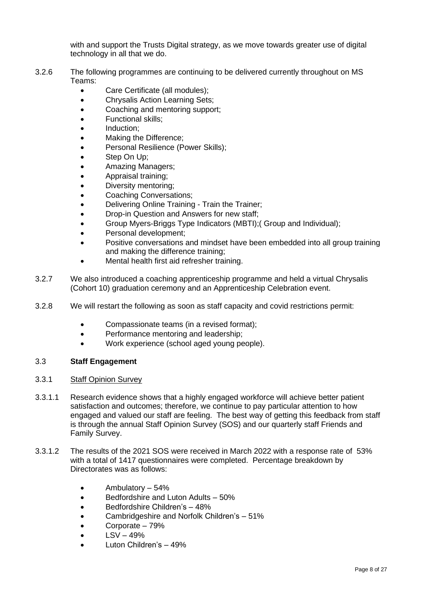with and support the Trusts Digital strategy, as we move towards greater use of digital technology in all that we do.

- 3.2.6 The following programmes are continuing to be delivered currently throughout on MS Teams:
	- Care Certificate (all modules);
	- Chrysalis Action Learning Sets;
	- Coaching and mentoring support;
	- Functional skills;
	- Induction;
	- Making the Difference:
	- Personal Resilience (Power Skills);
	- Step On Up;
	- Amazing Managers;
	- Appraisal training;
	- Diversity mentoring;
	- Coaching Conversations;
	- Delivering Online Training Train the Trainer;
	- Drop-in Question and Answers for new staff;
	- Group Myers-Briggs Type Indicators (MBTI);( Group and Individual);
	- Personal development;
	- Positive conversations and mindset have been embedded into all group training and making the difference training;
	- Mental health first aid refresher training.
- 3.2.7 We also introduced a coaching apprenticeship programme and held a virtual Chrysalis (Cohort 10) graduation ceremony and an Apprenticeship Celebration event.
- 3.2.8 We will restart the following as soon as staff capacity and covid restrictions permit:
	- Compassionate teams (in a revised format);
	- Performance mentoring and leadership;
	- Work experience (school aged young people).

# 3.3 **Staff Engagement**

# 3.3.1 Staff Opinion Survey

- 3.3.1.1 Research evidence shows that a highly engaged workforce will achieve better patient satisfaction and outcomes; therefore, we continue to pay particular attention to how engaged and valued our staff are feeling. The best way of getting this feedback from staff is through the annual Staff Opinion Survey (SOS) and our quarterly staff Friends and Family Survey.
- 3.3.1.2 The results of the 2021 SOS were received in March 2022 with a response rate of 53% with a total of 1417 questionnaires were completed. Percentage breakdown by Directorates was as follows:
	- Ambulatory 54%
	- Bedfordshire and Luton Adults 50%
	- Bedfordshire Children's 48%
	- Cambridgeshire and Norfolk Children's 51%
	- Corporate 79%
	- $\bullet$  LSV 49%
	- Luton Children's 49%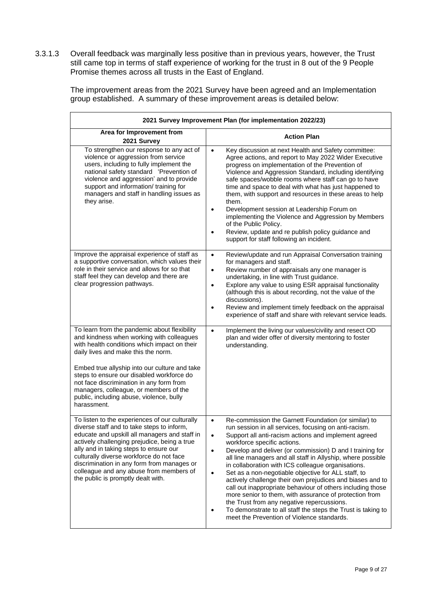3.3.1.3 Overall feedback was marginally less positive than in previous years, however, the Trust still came top in terms of staff experience of working for the trust in 8 out of the 9 People Promise themes across all trusts in the East of England.

> The improvement areas from the 2021 Survey have been agreed and an Implementation group established. A summary of these improvement areas is detailed below:

|                                                                                                                                                                                                                                                                                                                                                                                                                                 | 2021 Survey Improvement Plan (for implementation 2022/23)                                                                                                                                                                                                                                                                                                                                                                                                                                                                                                                                                                                                                                                                                                                                                                            |  |  |  |  |  |
|---------------------------------------------------------------------------------------------------------------------------------------------------------------------------------------------------------------------------------------------------------------------------------------------------------------------------------------------------------------------------------------------------------------------------------|--------------------------------------------------------------------------------------------------------------------------------------------------------------------------------------------------------------------------------------------------------------------------------------------------------------------------------------------------------------------------------------------------------------------------------------------------------------------------------------------------------------------------------------------------------------------------------------------------------------------------------------------------------------------------------------------------------------------------------------------------------------------------------------------------------------------------------------|--|--|--|--|--|
| Area for Improvement from<br>2021 Survey                                                                                                                                                                                                                                                                                                                                                                                        | <b>Action Plan</b>                                                                                                                                                                                                                                                                                                                                                                                                                                                                                                                                                                                                                                                                                                                                                                                                                   |  |  |  |  |  |
| To strengthen our response to any act of<br>violence or aggression from service<br>users, including to fully implement the<br>national safety standard 'Prevention of<br>violence and aggression' and to provide<br>support and information/ training for<br>managers and staff in handling issues as<br>they arise.                                                                                                            | Key discussion at next Health and Safety committee:<br>$\bullet$<br>Agree actions, and report to May 2022 Wider Executive<br>progress on implementation of the Prevention of<br>Violence and Aggression Standard, including identifying<br>safe spaces/wobble rooms where staff can go to have<br>time and space to deal with what has just happened to<br>them, with support and resources in these areas to help<br>them.<br>Development session at Leadership Forum on<br>$\bullet$<br>implementing the Violence and Aggression by Members<br>of the Public Policy.<br>Review, update and re publish policy guidance and<br>support for staff following an incident.                                                                                                                                                              |  |  |  |  |  |
| Improve the appraisal experience of staff as<br>a supportive conversation, which values their<br>role in their service and allows for so that<br>staff feel they can develop and there are<br>clear progression pathways.                                                                                                                                                                                                       | Review/update and run Appraisal Conversation training<br>$\bullet$<br>for managers and staff.<br>Review number of appraisals any one manager is<br>$\bullet$<br>undertaking, in line with Trust guidance.<br>Explore any value to using ESR appraisal functionality<br>$\bullet$<br>(although this is about recording, not the value of the<br>discussions).<br>Review and implement timely feedback on the appraisal<br>$\bullet$<br>experience of staff and share with relevant service leads.                                                                                                                                                                                                                                                                                                                                     |  |  |  |  |  |
| To learn from the pandemic about flexibility<br>and kindness when working with colleagues<br>with health conditions which impact on their<br>daily lives and make this the norm.<br>Embed true allyship into our culture and take<br>steps to ensure our disabled workforce do<br>not face discrimination in any form from<br>managers, colleague, or members of the<br>public, including abuse, violence, bully<br>harassment. | Implement the living our values/civility and resect OD<br>$\bullet$<br>plan and wider offer of diversity mentoring to foster<br>understanding.                                                                                                                                                                                                                                                                                                                                                                                                                                                                                                                                                                                                                                                                                       |  |  |  |  |  |
| To listen to the experiences of our culturally<br>diverse staff and to take steps to inform,<br>educate and upskill all managers and staff in<br>actively challenging prejudice, being a true<br>ally and in taking steps to ensure our<br>culturally diverse workforce do not face<br>discrimination in any form from manages or<br>colleague and any abuse from members of<br>the public is promptly dealt with.              | Re-commission the Garnett Foundation (or similar) to<br>run session in all services, focusing on anti-racism.<br>Support all anti-racism actions and implement agreed<br>$\bullet$<br>workforce specific actions.<br>Develop and deliver (or commission) D and I training for<br>$\bullet$<br>all line managers and all staff in Allyship, where possible<br>in collaboration with ICS colleague organisations.<br>Set as a non-negotiable objective for ALL staff, to<br>$\bullet$<br>actively challenge their own prejudices and biases and to<br>call out inappropriate behaviour of others including those<br>more senior to them, with assurance of protection from<br>the Trust from any negative repercussions.<br>To demonstrate to all staff the steps the Trust is taking to<br>meet the Prevention of Violence standards. |  |  |  |  |  |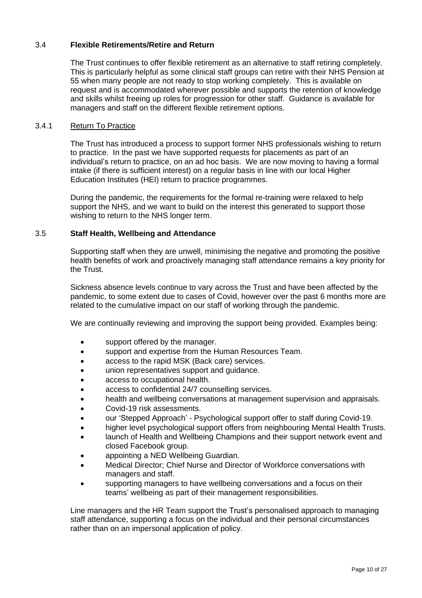# 3.4 **Flexible Retirements/Retire and Return**

The Trust continues to offer flexible retirement as an alternative to staff retiring completely. This is particularly helpful as some clinical staff groups can retire with their NHS Pension at 55 when many people are not ready to stop working completely. This is available on request and is accommodated wherever possible and supports the retention of knowledge and skills whilst freeing up roles for progression for other staff. Guidance is available for managers and staff on the different flexible retirement options.

# 3.4.1 Return To Practice

The Trust has introduced a process to support former NHS professionals wishing to return to practice. In the past we have supported requests for placements as part of an individual's return to practice, on an ad hoc basis. We are now moving to having a formal intake (if there is sufficient interest) on a regular basis in line with our local Higher Education Institutes (HEI) return to practice programmes.

During the pandemic, the requirements for the formal re-training were relaxed to help support the NHS, and we want to build on the interest this generated to support those wishing to return to the NHS longer term.

# 3.5 **Staff Health, Wellbeing and Attendance**

Supporting staff when they are unwell, minimising the negative and promoting the positive health benefits of work and proactively managing staff attendance remains a key priority for the Trust.

Sickness absence levels continue to vary across the Trust and have been affected by the pandemic, to some extent due to cases of Covid, however over the past 6 months more are related to the cumulative impact on our staff of working through the pandemic.

We are continually reviewing and improving the support being provided. Examples being:

- support offered by the manager.
- support and expertise from the Human Resources Team.
- access to the rapid MSK (Back care) services.
- union representatives support and guidance.
- access to occupational health.
- access to confidential 24/7 counselling services.
- health and wellbeing conversations at management supervision and appraisals.
- Covid-19 risk assessments.
- our 'Stepped Approach' Psychological support offer to staff during Covid-19.
- higher level psychological support offers from neighbouring Mental Health Trusts.
- launch of Health and Wellbeing Champions and their support network event and closed Facebook group.
- appointing a NED Wellbeing Guardian.
- Medical Director; Chief Nurse and Director of Workforce conversations with managers and staff.
- supporting managers to have wellbeing conversations and a focus on their teams' wellbeing as part of their management responsibilities.

Line managers and the HR Team support the Trust's personalised approach to managing staff attendance, supporting a focus on the individual and their personal circumstances rather than on an impersonal application of policy.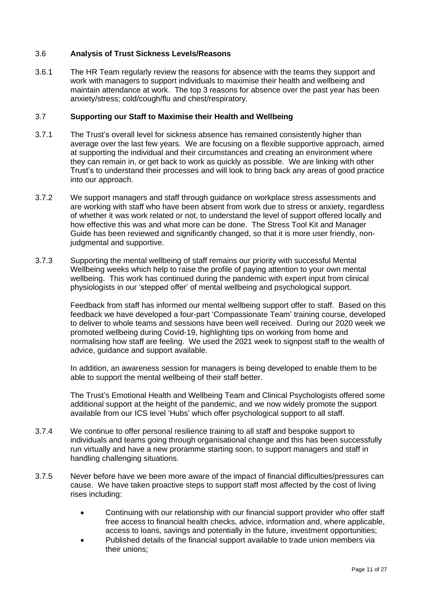# 3.6 **Analysis of Trust Sickness Levels/Reasons**

3.6.1 The HR Team regularly review the reasons for absence with the teams they support and work with managers to support individuals to maximise their health and wellbeing and maintain attendance at work. The top 3 reasons for absence over the past year has been anxiety/stress; cold/cough/flu and chest/respiratory.

# 3.7 **Supporting our Staff to Maximise their Health and Wellbeing**

- 3.7.1 The Trust's overall level for sickness absence has remained consistently higher than average over the last few years. We are focusing on a flexible supportive approach, aimed at supporting the individual and their circumstances and creating an environment where they can remain in, or get back to work as quickly as possible. We are linking with other Trust's to understand their processes and will look to bring back any areas of good practice into our approach.
- 3.7.2 We support managers and staff through guidance on workplace stress assessments and are working with staff who have been absent from work due to stress or anxiety, regardless of whether it was work related or not, to understand the level of support offered locally and how effective this was and what more can be done. The Stress Tool Kit and Manager Guide has been reviewed and significantly changed, so that it is more user friendly, nonjudgmental and supportive.
- 3.7.3 Supporting the mental wellbeing of staff remains our priority with successful Mental Wellbeing weeks which help to raise the profile of paying attention to your own mental wellbeing. This work has continued during the pandemic with expert input from clinical physiologists in our 'stepped offer' of mental wellbeing and psychological support.

Feedback from staff has informed our mental wellbeing support offer to staff. Based on this feedback we have developed a four-part 'Compassionate Team' training course, developed to deliver to whole teams and sessions have been well received. During our 2020 week we promoted wellbeing during Covid-19, highlighting tips on working from home and normalising how staff are feeling. We used the 2021 week to signpost staff to the wealth of advice, guidance and support available.

In addition, an awareness session for managers is being developed to enable them to be able to support the mental wellbeing of their staff better.

The Trust's Emotional Health and Wellbeing Team and Clinical Psychologists offered some additional support at the height of the pandemic, and we now widely promote the support available from our ICS level 'Hubs' which offer psychological support to all staff.

- 3.7.4 We continue to offer personal resilience training to all staff and bespoke support to individuals and teams going through organisational change and this has been successfully run virtually and have a new proramme starting soon, to support managers and staff in handling challenging situations.
- 3.7.5 Never before have we been more aware of the impact of financial difficulties/pressures can cause. We have taken proactive steps to support staff most affected by the cost of living rises including:
	- Continuing with our relationship with our financial support provider who offer staff free access to financial health checks, advice, information and, where applicable, access to loans, savings and potentially in the future, investment opportunities;
	- Published details of the financial support available to trade union members via their unions;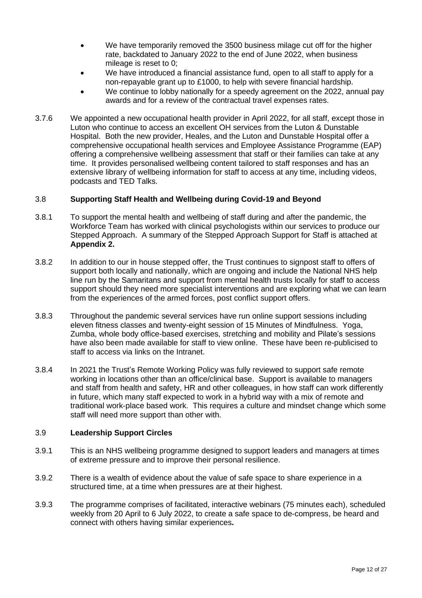- We have temporarily removed the 3500 business milage cut off for the higher rate, backdated to January 2022 to the end of June 2022, when business mileage is reset to 0;
- We have introduced a financial assistance fund, open to all staff to apply for a non-repayable grant up to £1000, to help with severe financial hardship.
- We continue to lobby nationally for a speedy agreement on the 2022, annual pay awards and for a review of the contractual travel expenses rates.
- 3.7.6 We appointed a new occupational health provider in April 2022, for all staff, except those in Luton who continue to access an excellent OH services from the Luton & Dunstable Hospital. Both the new provider, Heales, and the Luton and Dunstable Hospital offer a comprehensive occupational health services and Employee Assistance Programme (EAP) offering a comprehensive wellbeing assessment that staff or their families can take at any time. It provides personalised wellbeing content tailored to staff responses and has an extensive library of wellbeing information for staff to access at any time, including videos, podcasts and TED Talks.

# 3.8 **Supporting Staff Health and Wellbeing during Covid-19 and Beyond**

- 3.8.1 To support the mental health and wellbeing of staff during and after the pandemic, the Workforce Team has worked with clinical psychologists within our services to produce our Stepped Approach. A summary of the Stepped Approach Support for Staff is attached at **Appendix 2.**
- 3.8.2 In addition to our in house stepped offer, the Trust continues to signpost staff to offers of support both locally and nationally, which are ongoing and include the National NHS help line run by the Samaritans and support from mental health trusts locally for staff to access support should they need more specialist interventions and are exploring what we can learn from the experiences of the armed forces, post conflict support offers.
- 3.8.3 Throughout the pandemic several services have run online support sessions including eleven fitness classes and twenty-eight session of 15 Minutes of Mindfulness. Yoga, Zumba, whole body office-based exercises, stretching and mobility and Pilate's sessions have also been made available for staff to view online. These have been re-publicised to staff to access via links on the Intranet.
- 3.8.4 In 2021 the Trust's Remote Working Policy was fully reviewed to support safe remote working in locations other than an office/clinical base. Support is available to managers and staff from health and safety, HR and other colleagues, in how staff can work differently in future, which many staff expected to work in a hybrid way with a mix of remote and traditional work-place based work. This requires a culture and mindset change which some staff will need more support than other with.

# 3.9 **Leadership Support Circles**

- 3.9.1 This is an NHS wellbeing programme designed to support leaders and managers at times of extreme pressure and to improve their personal resilience.
- 3.9.2 There is a wealth of evidence about the value of safe space to share experience in a structured time, at a time when pressures are at their highest.
- 3.9.3 The programme comprises of facilitated, interactive webinars (75 minutes each), scheduled weekly from 20 April to 6 July 2022, to create a safe space to de-compress, be heard and connect with others having similar experiences**.**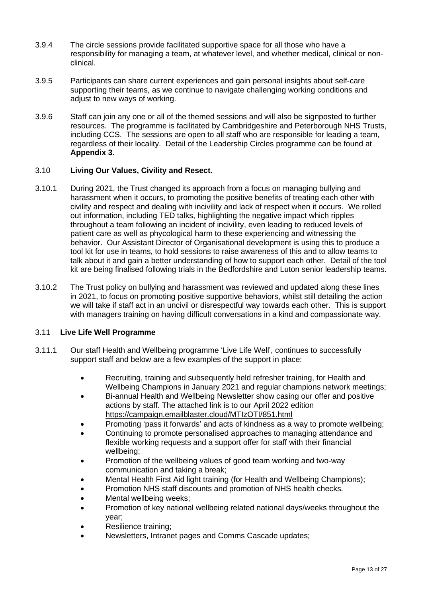- 3.9.4 The circle sessions provide facilitated supportive space for all those who have a responsibility for managing a team, at whatever level, and whether medical, clinical or nonclinical.
- 3.9.5 Participants can share current experiences and gain personal insights about self-care supporting their teams, as we continue to navigate challenging working conditions and adjust to new ways of working.
- 3.9.6 Staff can join any one or all of the themed sessions and will also be signposted to further resources. The programme is facilitated by Cambridgeshire and Peterborough NHS Trusts, including CCS. The sessions are open to all staff who are responsible for leading a team, regardless of their locality. Detail of the Leadership Circles programme can be found at **Appendix 3**.

# 3.10 **Living Our Values, Civility and Resect.**

- 3.10.1 During 2021, the Trust changed its approach from a focus on managing bullying and harassment when it occurs, to promoting the positive benefits of treating each other with civility and respect and dealing with incivility and lack of respect when it occurs. We rolled out information, including TED talks, highlighting the negative impact which ripples throughout a team following an incident of incivility, even leading to reduced levels of patient care as well as phycological harm to these experiencing and witnessing the behavior. Our Assistant Director of Organisational development is using this to produce a tool kit for use in teams, to hold sessions to raise awareness of this and to allow teams to talk about it and gain a better understanding of how to support each other. Detail of the tool kit are being finalised following trials in the Bedfordshire and Luton senior leadership teams.
- 3.10.2 The Trust policy on bullying and harassment was reviewed and updated along these lines in 2021, to focus on promoting positive supportive behaviors, whilst still detailing the action we will take if staff act in an uncivil or disrespectful way towards each other. This is support with managers training on having difficult conversations in a kind and compassionate way.

# 3.11 **Live Life Well Programme**

- 3.11.1 Our staff Health and Wellbeing programme 'Live Life Well', continues to successfully support staff and below are a few examples of the support in place:
	- Recruiting, training and subsequently held refresher training, for Health and Wellbeing Champions in January 2021 and regular champions network meetings;
	- Bi-annual Health and Wellbeing Newsletter show casing our offer and positive actions by staff. The attached link is to our April 2022 edition <https://campaign.emailblaster.cloud/MTIzOTI/851.html>
	- Promoting 'pass it forwards' and acts of kindness as a way to promote wellbeing;
	- Continuing to promote personalised approaches to managing attendance and flexible working requests and a support offer for staff with their financial wellbeing;
	- Promotion of the wellbeing values of good team working and two-way communication and taking a break;
	- Mental Health First Aid light training (for Health and Wellbeing Champions);
	- Promotion NHS staff discounts and promotion of NHS health checks.
	- Mental wellbeing weeks;
	- Promotion of key national wellbeing related national days/weeks throughout the year;
	- Resilience training:
	- Newsletters, Intranet pages and Comms Cascade updates;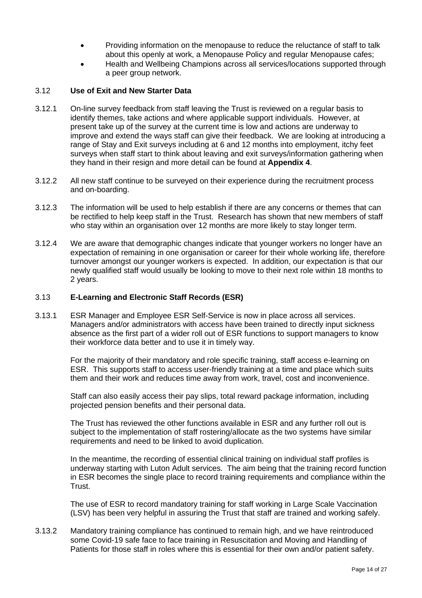- Providing information on the menopause to reduce the reluctance of staff to talk about this openly at work, a Menopause Policy and regular Menopause cafes;
- Health and Wellbeing Champions across all services/locations supported through a peer group network.

#### 3.12 **Use of Exit and New Starter Data**

- 3.12.1 On-line survey feedback from staff leaving the Trust is reviewed on a regular basis to identify themes, take actions and where applicable support individuals. However, at present take up of the survey at the current time is low and actions are underway to improve and extend the ways staff can give their feedback. We are looking at introducing a range of Stay and Exit surveys including at 6 and 12 months into employment, itchy feet surveys when staff start to think about leaving and exit surveys/information gathering when they hand in their resign and more detail can be found at **Appendix 4**.
- 3.12.2 All new staff continue to be surveyed on their experience during the recruitment process and on-boarding.
- 3.12.3 The information will be used to help establish if there are any concerns or themes that can be rectified to help keep staff in the Trust. Research has shown that new members of staff who stay within an organisation over 12 months are more likely to stay longer term.
- 3.12.4 We are aware that demographic changes indicate that younger workers no longer have an expectation of remaining in one organisation or career for their whole working life, therefore turnover amongst our younger workers is expected. In addition, our expectation is that our newly qualified staff would usually be looking to move to their next role within 18 months to 2 years.

#### 3.13 **E-Learning and Electronic Staff Records (ESR)**

3.13.1 ESR Manager and Employee ESR Self-Service is now in place across all services. Managers and/or administrators with access have been trained to directly input sickness absence as the first part of a wider roll out of ESR functions to support managers to know their workforce data better and to use it in timely way.

> For the majority of their mandatory and role specific training, staff access e-learning on ESR. This supports staff to access user-friendly training at a time and place which suits them and their work and reduces time away from work, travel, cost and inconvenience.

Staff can also easily access their pay slips, total reward package information, including projected pension benefits and their personal data.

The Trust has reviewed the other functions available in ESR and any further roll out is subject to the implementation of staff rostering/allocate as the two systems have similar requirements and need to be linked to avoid duplication.

In the meantime, the recording of essential clinical training on individual staff profiles is underway starting with Luton Adult services. The aim being that the training record function in ESR becomes the single place to record training requirements and compliance within the Trust.

The use of ESR to record mandatory training for staff working in Large Scale Vaccination (LSV) has been very helpful in assuring the Trust that staff are trained and working safely.

3.13.2 Mandatory training compliance has continued to remain high, and we have reintroduced some Covid-19 safe face to face training in Resuscitation and Moving and Handling of Patients for those staff in roles where this is essential for their own and/or patient safety.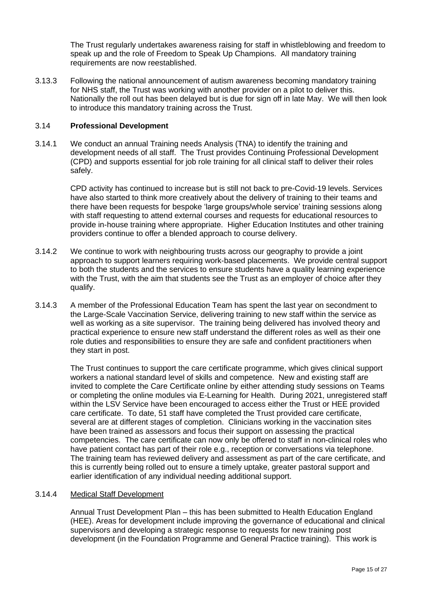The Trust regularly undertakes awareness raising for staff in whistleblowing and freedom to speak up and the role of Freedom to Speak Up Champions. All mandatory training requirements are now reestablished.

3.13.3 Following the national announcement of autism awareness becoming mandatory training for NHS staff, the Trust was working with another provider on a pilot to deliver this. Nationally the roll out has been delayed but is due for sign off in late May. We will then look to introduce this mandatory training across the Trust.

# 3.14 **Professional Development**

3.14.1 We conduct an annual Training needs Analysis (TNA) to identify the training and development needs of all staff. The Trust provides Continuing Professional Development (CPD) and supports essential for job role training for all clinical staff to deliver their roles safely.

> CPD activity has continued to increase but is still not back to pre-Covid-19 levels. Services have also started to think more creatively about the delivery of training to their teams and there have been requests for bespoke 'large groups/whole service' training sessions along with staff requesting to attend external courses and requests for educational resources to provide in-house training where appropriate. Higher Education Institutes and other training providers continue to offer a blended approach to course delivery.

- 3.14.2 We continue to work with neighbouring trusts across our geography to provide a joint approach to support learners requiring work-based placements. We provide central support to both the students and the services to ensure students have a quality learning experience with the Trust, with the aim that students see the Trust as an employer of choice after they qualify.
- 3.14.3 A member of the Professional Education Team has spent the last year on secondment to the Large-Scale Vaccination Service, delivering training to new staff within the service as well as working as a site supervisor. The training being delivered has involved theory and practical experience to ensure new staff understand the different roles as well as their one role duties and responsibilities to ensure they are safe and confident practitioners when they start in post.

The Trust continues to support the care certificate programme, which gives clinical support workers a national standard level of skills and competence. New and existing staff are invited to complete the Care Certificate online by either attending study sessions on Teams or completing the online modules via E-Learning for Health. During 2021, unregistered staff within the LSV Service have been encouraged to access either the Trust or HEE provided care certificate. To date, 51 staff have completed the Trust provided care certificate, several are at different stages of completion. Clinicians working in the vaccination sites have been trained as assessors and focus their support on assessing the practical competencies. The care certificate can now only be offered to staff in non-clinical roles who have patient contact has part of their role e.g., reception or conversations via telephone. The training team has reviewed delivery and assessment as part of the care certificate, and this is currently being rolled out to ensure a timely uptake, greater pastoral support and earlier identification of any individual needing additional support.

# 3.14.4 Medical Staff Development

Annual Trust Development Plan – this has been submitted to Health Education England (HEE). Areas for development include improving the governance of educational and clinical supervisors and developing a strategic response to requests for new training post development (in the Foundation Programme and General Practice training). This work is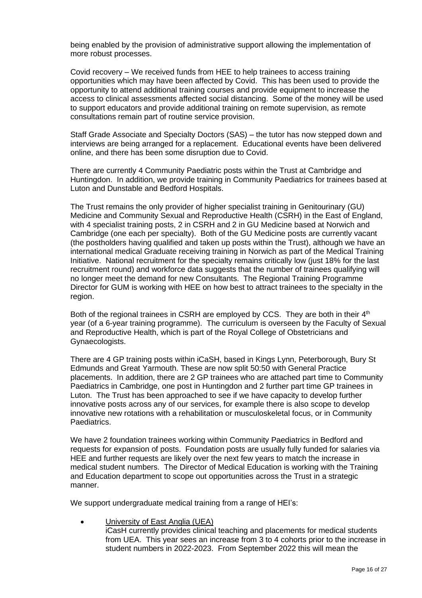being enabled by the provision of administrative support allowing the implementation of more robust processes.

Covid recovery – We received funds from HEE to help trainees to access training opportunities which may have been affected by Covid. This has been used to provide the opportunity to attend additional training courses and provide equipment to increase the access to clinical assessments affected social distancing. Some of the money will be used to support educators and provide additional training on remote supervision, as remote consultations remain part of routine service provision.

Staff Grade Associate and Specialty Doctors (SAS) – the tutor has now stepped down and interviews are being arranged for a replacement. Educational events have been delivered online, and there has been some disruption due to Covid.

There are currently 4 Community Paediatric posts within the Trust at Cambridge and Huntingdon. In addition, we provide training in Community Paediatrics for trainees based at Luton and Dunstable and Bedford Hospitals.

The Trust remains the only provider of higher specialist training in Genitourinary (GU) Medicine and Community Sexual and Reproductive Health (CSRH) in the East of England, with 4 specialist training posts, 2 in CSRH and 2 in GU Medicine based at Norwich and Cambridge (one each per specialty). Both of the GU Medicine posts are currently vacant (the postholders having qualified and taken up posts within the Trust), although we have an international medical Graduate receiving training in Norwich as part of the Medical Training Initiative. National recruitment for the specialty remains critically low (just 18% for the last recruitment round) and workforce data suggests that the number of trainees qualifying will no longer meet the demand for new Consultants. The Regional Training Programme Director for GUM is working with HEE on how best to attract trainees to the specialty in the region.

Both of the regional trainees in CSRH are employed by CCS. They are both in their 4<sup>th</sup> year (of a 6-year training programme). The curriculum is overseen by the Faculty of Sexual and Reproductive Health, which is part of the Royal College of Obstetricians and Gynaecologists.

There are 4 GP training posts within iCaSH, based in Kings Lynn, Peterborough, Bury St Edmunds and Great Yarmouth. These are now split 50:50 with General Practice placements. In addition, there are 2 GP trainees who are attached part time to Community Paediatrics in Cambridge, one post in Huntingdon and 2 further part time GP trainees in Luton. The Trust has been approached to see if we have capacity to develop further innovative posts across any of our services, for example there is also scope to develop innovative new rotations with a rehabilitation or musculoskeletal focus, or in Community Paediatrics.

We have 2 foundation trainees working within Community Paediatrics in Bedford and requests for expansion of posts. Foundation posts are usually fully funded for salaries via HEE and further requests are likely over the next few years to match the increase in medical student numbers. The Director of Medical Education is working with the Training and Education department to scope out opportunities across the Trust in a strategic manner.

We support undergraduate medical training from a range of HEI's:

University of East Anglia (UEA) iCasH currently provides clinical teaching and placements for medical students from UEA. This year sees an increase from 3 to 4 cohorts prior to the increase in student numbers in 2022-2023. From September 2022 this will mean the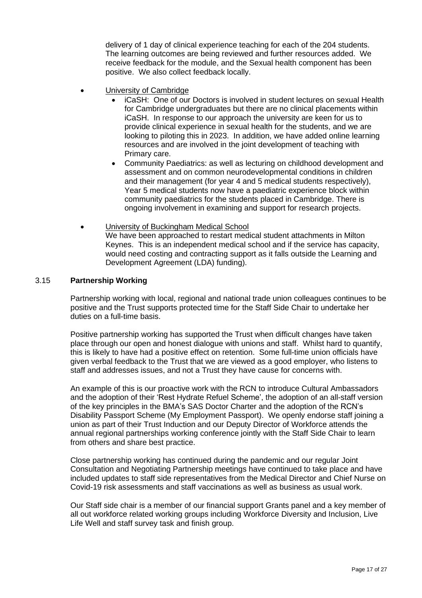delivery of 1 day of clinical experience teaching for each of the 204 students. The learning outcomes are being reviewed and further resources added. We receive feedback for the module, and the Sexual health component has been positive. We also collect feedback locally.

- University of Cambridge
	- iCaSH: One of our Doctors is involved in student lectures on sexual Health for Cambridge undergraduates but there are no clinical placements within iCaSH. In response to our approach the university are keen for us to provide clinical experience in sexual health for the students, and we are looking to piloting this in 2023. In addition, we have added online learning resources and are involved in the joint development of teaching with Primary care.
	- Community Paediatrics: as well as lecturing on childhood development and assessment and on common neurodevelopmental conditions in children and their management (for year 4 and 5 medical students respectively), Year 5 medical students now have a paediatric experience block within community paediatrics for the students placed in Cambridge. There is ongoing involvement in examining and support for research projects.
- University of Buckingham Medical School We have been approached to restart medical student attachments in Milton Keynes. This is an independent medical school and if the service has capacity, would need costing and contracting support as it falls outside the Learning and Development Agreement (LDA) funding).

# 3.15 **Partnership Working**

Partnership working with local, regional and national trade union colleagues continues to be positive and the Trust supports protected time for the Staff Side Chair to undertake her duties on a full-time basis.

Positive partnership working has supported the Trust when difficult changes have taken place through our open and honest dialogue with unions and staff. Whilst hard to quantify, this is likely to have had a positive effect on retention. Some full-time union officials have given verbal feedback to the Trust that we are viewed as a good employer, who listens to staff and addresses issues, and not a Trust they have cause for concerns with.

An example of this is our proactive work with the RCN to introduce Cultural Ambassadors and the adoption of their 'Rest Hydrate Refuel Scheme', the adoption of an all-staff version of the key principles in the BMA's SAS Doctor Charter and the adoption of the RCN's Disability Passport Scheme (My Employment Passport). We openly endorse staff joining a union as part of their Trust Induction and our Deputy Director of Workforce attends the annual regional partnerships working conference jointly with the Staff Side Chair to learn from others and share best practice.

Close partnership working has continued during the pandemic and our regular Joint Consultation and Negotiating Partnership meetings have continued to take place and have included updates to staff side representatives from the Medical Director and Chief Nurse on Covid-19 risk assessments and staff vaccinations as well as business as usual work.

Our Staff side chair is a member of our financial support Grants panel and a key member of all out workforce related working groups including Workforce Diversity and Inclusion, Live Life Well and staff survey task and finish group.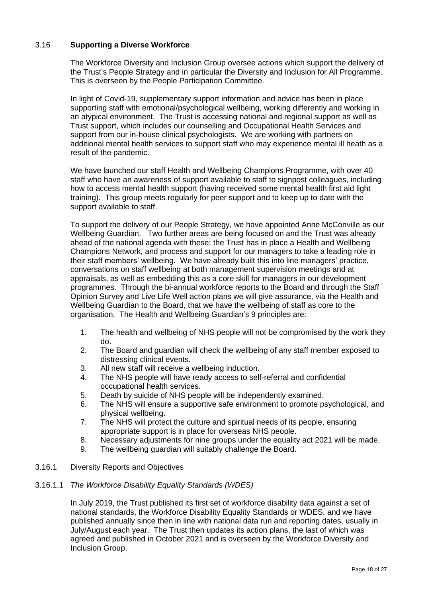# 3.16 **Supporting a Diverse Workforce**

The Workforce Diversity and Inclusion Group oversee actions which support the delivery of the Trust's People Strategy and in particular the Diversity and Inclusion for All Programme. This is overseen by the People Participation Committee.

In light of Covid-19, supplementary support information and advice has been in place supporting staff with emotional/psychological wellbeing, working differently and working in an atypical environment. The Trust is accessing national and regional support as well as Trust support, which includes our counselling and Occupational Health Services and support from our in-house clinical psychologists. We are working with partners on additional mental health services to support staff who may experience mental ill heath as a result of the pandemic.

We have launched our staff Health and Wellbeing Champions Programme, with over 40 staff who have an awareness of support available to staff to signpost colleagues, including how to access mental health support (having received some mental health first aid light training). This group meets regularly for peer support and to keep up to date with the support available to staff.

To support the delivery of our People Strategy, we have appointed Anne McConville as our Wellbeing Guardian. Two further areas are being focused on and the Trust was already ahead of the national agenda with these; the Trust has in place a Health and Wellbeing Champions Network, and process and support for our managers to take a leading role in their staff members' wellbeing. We have already built this into line managers' practice, conversations on staff wellbeing at both management supervision meetings and at appraisals, as well as embedding this as a core skill for managers in our development programmes. Through the bi-annual workforce reports to the Board and through the Staff Opinion Survey and Live Life Well action plans we will give assurance, via the Health and Wellbeing Guardian to the Board, that we have the wellbeing of staff as core to the organisation. The Health and Wellbeing Guardian's 9 principles are:

- 1. The health and wellbeing of NHS people will not be compromised by the work they do.
- 2. The Board and guardian will check the wellbeing of any staff member exposed to distressing clinical events.
- 3. All new staff will receive a wellbeing induction.
- 4. The NHS people will have ready access to self-referral and confidential occupational health services.
- 5. Death by suicide of NHS people will be independently examined.
- 6. The NHS will ensure a supportive safe environment to promote psychological, and physical wellbeing.
- 7. The NHS will protect the culture and spiritual needs of its people, ensuring appropriate support is in place for overseas NHS people.
- 8. Necessary adjustments for nine groups under the equality act 2021 will be made.
- 9. The wellbeing guardian will suitably challenge the Board.

# 3.16.1 Diversity Reports and Objectives

# 3.16.1.1 *The Workforce Disability Equality Standards (WDES)*

In July 2019, the Trust published its first set of workforce disability data against a set of national standards, the Workforce Disability Equality Standards or WDES, and we have published annually since then in line with national data run and reporting dates, usually in July/August each year. The Trust then updates its action plans, the last of which was agreed and published in October 2021 and is overseen by the Workforce Diversity and Inclusion Group.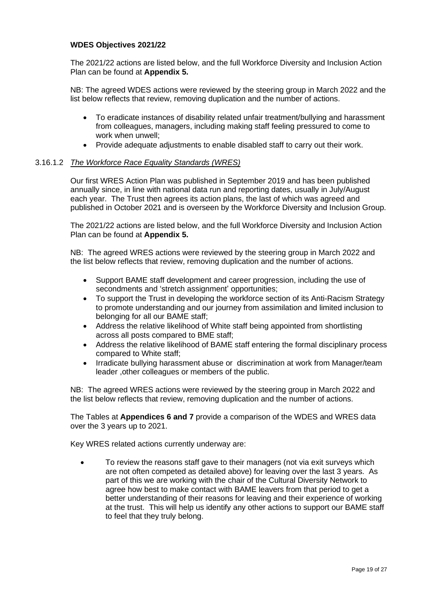# **WDES Objectives 2021/22**

The 2021/22 actions are listed below, and the full Workforce Diversity and Inclusion Action Plan can be found at **Appendix 5.**

NB: The agreed WDES actions were reviewed by the steering group in March 2022 and the list below reflects that review, removing duplication and the number of actions.

- To eradicate instances of disability related unfair treatment/bullying and harassment from colleagues, managers, including making staff feeling pressured to come to work when unwell;
- Provide adequate adjustments to enable disabled staff to carry out their work.

#### 3.16.1.2 *The Workforce Race Equality Standards (WRES)*

Our first WRES Action Plan was published in September 2019 and has been published annually since, in line with national data run and reporting dates, usually in July/August each year. The Trust then agrees its action plans, the last of which was agreed and published in October 2021 and is overseen by the Workforce Diversity and Inclusion Group.

The 2021/22 actions are listed below, and the full Workforce Diversity and Inclusion Action Plan can be found at **Appendix 5.**

NB: The agreed WRES actions were reviewed by the steering group in March 2022 and the list below reflects that review, removing duplication and the number of actions.

- Support BAME staff development and career progression, including the use of secondments and 'stretch assignment' opportunities;
- To support the Trust in developing the workforce section of its Anti-Racism Strategy to promote understanding and our journey from assimilation and limited inclusion to belonging for all our BAME staff;
- Address the relative likelihood of White staff being appointed from shortlisting across all posts compared to BME staff;
- Address the relative likelihood of BAME staff entering the formal disciplinary process compared to White staff;
- Irradicate bullying harassment abuse or discrimination at work from Manager/team leader ,other colleagues or members of the public.

NB: The agreed WRES actions were reviewed by the steering group in March 2022 and the list below reflects that review, removing duplication and the number of actions.

The Tables at **Appendices 6 and 7** provide a comparison of the WDES and WRES data over the 3 years up to 2021.

Key WRES related actions currently underway are:

• To review the reasons staff gave to their managers (not via exit surveys which are not often competed as detailed above) for leaving over the last 3 years. As part of this we are working with the chair of the Cultural Diversity Network to agree how best to make contact with BAME leavers from that period to get a better understanding of their reasons for leaving and their experience of working at the trust. This will help us identify any other actions to support our BAME staff to feel that they truly belong.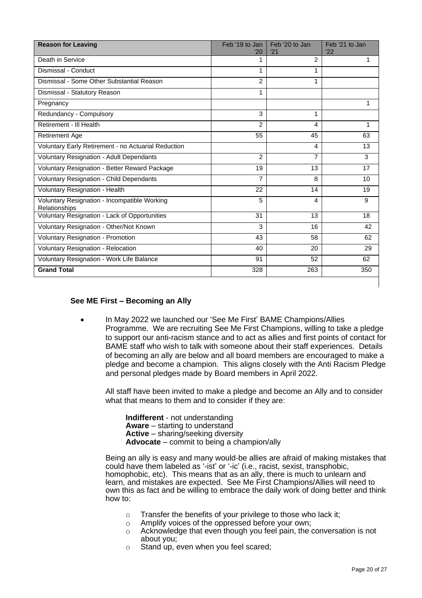| <b>Reason for Leaving</b>                                     | Feb '19 to Jan<br>'20 | Feb '20 to Jan<br>'21 | Feb '21 to Jan<br>'22 |
|---------------------------------------------------------------|-----------------------|-----------------------|-----------------------|
| Death in Service                                              | 1                     | $\overline{2}$        | 1                     |
| Dismissal - Conduct                                           | 1                     | 1                     |                       |
| Dismissal - Some Other Substantial Reason                     | $\overline{2}$        |                       |                       |
| Dismissal - Statutory Reason                                  | 1                     |                       |                       |
| Pregnancy                                                     |                       |                       | 1                     |
| Redundancy - Compulsory                                       | 3                     | 1                     |                       |
| Retirement - Ill Health                                       | $\overline{2}$        | 4                     | 1                     |
| <b>Retirement Age</b>                                         | 55                    | 45                    | 63                    |
| Voluntary Early Retirement - no Actuarial Reduction           |                       | 4                     | 13                    |
| Voluntary Resignation - Adult Dependants                      | 2                     | $\overline{7}$        | 3                     |
| Voluntary Resignation - Better Reward Package                 | 19                    | 13                    | 17                    |
| Voluntary Resignation - Child Dependants                      | $\overline{7}$        | 8                     | 10                    |
| Voluntary Resignation - Health                                | 22                    | 14                    | 19                    |
| Voluntary Resignation - Incompatible Working<br>Relationships | 5                     | 4                     | 9                     |
| Voluntary Resignation - Lack of Opportunities                 | 31                    | 13                    | 18                    |
| Voluntary Resignation - Other/Not Known                       | 3                     | 16                    | 42                    |
| Voluntary Resignation - Promotion                             | 43                    | 58                    | 62                    |
| Voluntary Resignation - Relocation                            | 40                    | 20                    | 29                    |
| Voluntary Resignation - Work Life Balance                     | 91                    | 52                    | 62                    |
| <b>Grand Total</b>                                            | 328                   | 263                   | 350                   |

# **See ME First – Becoming an Ally**

• In May 2022 we launched our 'See Me First' BAME Champions/Allies Programme. We are recruiting See Me First Champions, willing to take a pledge to support our anti-racism stance and to act as allies and first points of contact for BAME staff who wish to talk with someone about their staff experiences. Details of becoming an ally are below and all board members are encouraged to make a pledge and become a champion. This aligns closely with the Anti Racism Pledge and personal pledges made by Board members in April 2022.

All staff have been invited to make a pledge and become an Ally and to consider what that means to them and to consider if they are:

**Indifferent** - not understanding **Aware** – starting to understand **Active** – sharing/seeking diversity **Advocate** – commit to being a champion/ally

Being an ally is easy and many would-be allies are afraid of making mistakes that could have them labeled as '-ist' or '-ic' (i.e., racist, sexist, transphobic, homophobic, etc). This means that as an ally, there is much to unlearn and learn, and mistakes are expected. See Me First Champions/Allies will need to own this as fact and be willing to embrace the daily work of doing better and think how to:

- o Transfer the benefits of your privilege to those who lack it;
- o Amplify voices of the oppressed before your own;
- o Acknowledge that even though you feel pain, the conversation is not about you;
- o Stand up, even when you feel scared;

 $\mathsf{l}$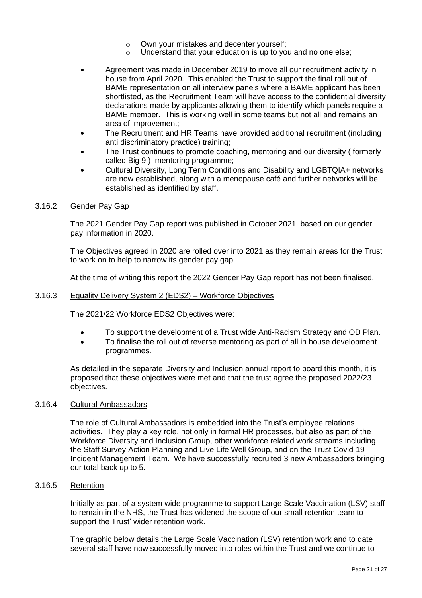- o Own your mistakes and decenter yourself;
- o Understand that your education is up to you and no one else;
- Agreement was made in December 2019 to move all our recruitment activity in house from April 2020. This enabled the Trust to support the final roll out of BAME representation on all interview panels where a BAME applicant has been shortlisted, as the Recruitment Team will have access to the confidential diversity declarations made by applicants allowing them to identify which panels require a BAME member. This is working well in some teams but not all and remains an area of improvement;
- The Recruitment and HR Teams have provided additional recruitment (including anti discriminatory practice) training;
- The Trust continues to promote coaching, mentoring and our diversity ( formerly called Big 9 ) mentoring programme;
- Cultural Diversity, Long Term Conditions and Disability and LGBTQIA+ networks are now established, along with a menopause café and further networks will be established as identified by staff.

#### 3.16.2 Gender Pay Gap

The 2021 Gender Pay Gap report was published in October 2021, based on our gender pay information in 2020.

The Objectives agreed in 2020 are rolled over into 2021 as they remain areas for the Trust to work on to help to narrow its gender pay gap.

At the time of writing this report the 2022 Gender Pay Gap report has not been finalised.

#### 3.16.3 Equality Delivery System 2 (EDS2) – Workforce Objectives

The 2021/22 Workforce EDS2 Objectives were:

- To support the development of a Trust wide Anti-Racism Strategy and OD Plan.
- To finalise the roll out of reverse mentoring as part of all in house development programmes.

As detailed in the separate Diversity and Inclusion annual report to board this month, it is proposed that these objectives were met and that the trust agree the proposed 2022/23 objectives.

#### 3.16.4 Cultural Ambassadors

The role of Cultural Ambassadors is embedded into the Trust's employee relations activities. They play a key role, not only in formal HR processes, but also as part of the Workforce Diversity and Inclusion Group, other workforce related work streams including the Staff Survey Action Planning and Live Life Well Group, and on the Trust Covid-19 Incident Management Team. We have successfully recruited 3 new Ambassadors bringing our total back up to 5.

#### 3.16.5 Retention

Initially as part of a system wide programme to support Large Scale Vaccination (LSV) staff to remain in the NHS, the Trust has widened the scope of our small retention team to support the Trust' wider retention work.

The graphic below details the Large Scale Vaccination (LSV) retention work and to date several staff have now successfully moved into roles within the Trust and we continue to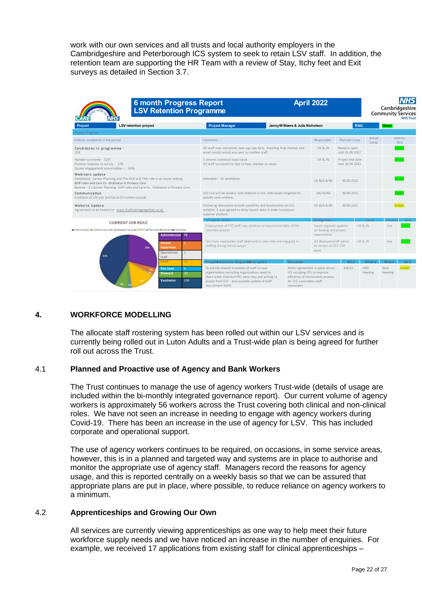work with our own services and all trusts and local authority employers in the Cambridgeshire and Peterborough ICS system to seek to retain LSV staff. In addition, the retention team are supporting the HR Team with a review of Stay, Itchy feet and Exit surveys as detailed in Section 3.7.

| <b>6 month Progress Report</b><br><b>LSV Retention Programme</b>                                                                                                                                                                  |                                                                                                                                                                                                                         |                                                                       | <b>April 2022</b>                                                   |                                    |                       | Cambridgeshire<br><b>Community Services</b> | <b>NHS Trust</b> |
|-----------------------------------------------------------------------------------------------------------------------------------------------------------------------------------------------------------------------------------|-------------------------------------------------------------------------------------------------------------------------------------------------------------------------------------------------------------------------|-----------------------------------------------------------------------|---------------------------------------------------------------------|------------------------------------|-----------------------|---------------------------------------------|------------------|
| Project<br>LSV retention project                                                                                                                                                                                                  | <b>Project Manager</b>                                                                                                                                                                                                  | Jenny W illiams & Julie Nicholson                                     |                                                                     | <b>RAG</b>                         |                       | Green                                       |                  |
| Project Progress                                                                                                                                                                                                                  |                                                                                                                                                                                                                         |                                                                       |                                                                     |                                    |                       |                                             |                  |
| Activity completed in the period                                                                                                                                                                                                  | Comments                                                                                                                                                                                                                |                                                                       | Responsible                                                         | Planned Comp                       | Actual<br>Comp        |                                             | Activity<br>RAG  |
| Candidates in programme -<br>258                                                                                                                                                                                                  | All staff now contacted, new sign ups daily. Awaiting final chatbot and<br>email results which was sent to inactive staff                                                                                               |                                                                       | JW & JN                                                             | Remains open<br>until 01.09.2022   |                       |                                             | Green            |
| Number surveyed - 1297<br>Positive response to survey - 278<br>Career engagement conversation - 1424                                                                                                                              | 5 centres visited at least twice<br>All staff surveyed via face to face, chatbot or email                                                                                                                               |                                                                       | JW & JN                                                             | Project end date<br>now 30.09.2022 |                       |                                             |                  |
| Webinars update<br>Completed- Career Planning and The HCA and TNA role in an Acute setting.<br>AHP roles and Care Co -Ordinator in Primary Care<br>Booked - 2 x Career Planning. AHP roles and Care Co -Ordinator in Primary Care | Attended - 43 candidates                                                                                                                                                                                                |                                                                       | IW & IN & KB                                                        | 30.09.2022                         |                       |                                             |                  |
| Communication<br>6 editions of LSV Live and Covid-19 Comms cascade                                                                                                                                                                | LSV Live will be weekly until Website is live. Individuals targeted for<br>specific interventions.                                                                                                                      |                                                                       | JW/JN/KB                                                            | 30.09.2022                         |                       |                                             | Green            |
| Website Update<br>Agreement to be hosted on www.itsallcomingtogether.co.uk                                                                                                                                                        | Following discussions around useability and functionality on CCS<br>website, it was agreed to delay launch date in order to procure<br>superior platform                                                                |                                                                       | JW &JN & KB                                                         | 30.04.2022                         |                       |                                             | Amber            |
| <b>CURRENT JOB ROLE</b>                                                                                                                                                                                                           | <b>Project Risks</b>                                                                                                                                                                                                    |                                                                       | Mitigation                                                          |                                    | نفقا                  | Pric                                        |                  |
| Administrator @ Cinical Supervisor # Operational Lead @ 21:02 @ Ste Lead @ Steward @ Veccinetor<br>Administrator 72                                                                                                               | Employment of FTC staff may continue on beyond end date of the<br>retention project                                                                                                                                     |                                                                       | Await regional updates<br>on funding and project<br>expectations    |                                    | IW & IN               | low                                         |                  |
| Clinical<br>9<br><b>Supervisor</b><br>325<br>Operational<br>$\mathfrak{D}$                                                                                                                                                        | Too many vaccination staff deployed to new roles leaving gaps in<br>staffing during future surges                                                                                                                       |                                                                       | All deployed staff asked<br>to remain on CCS C19<br>bank            |                                    | JW & JN               | low                                         |                  |
| 42%<br>Lead                                                                                                                                                                                                                       |                                                                                                                                                                                                                         |                                                                       |                                                                     |                                    |                       |                                             |                  |
| <b>RHCP</b><br>36                                                                                                                                                                                                                 | ProjecDecisions RequirDescription                                                                                                                                                                                       | Outcome                                                               |                                                                     | Who                                | Where                 | When                                        | <b>RAG</b>       |
| <b>Site Lead</b><br>$\overline{4}$<br>20 <sup>7</sup><br><b>Steward</b><br>104<br>Vaccinator                                                                                                                                      | To aid the smooth transition of staff to new<br>organisations recruiting organisations need to<br>share what minimum PEC data they are willing to<br>accept from CCS - also possible update of staff<br>recruitment MOU | ICS including CCS to improve<br>for CCS vaccination staff<br>movement | MOU/ agreement in place across<br>efficiency of recruitment process | EW/LD                              | <b>HRD</b><br>meeting | Next<br>meeting                             | Amber            |

# **4. WORKFORCE MODELLING**

The allocate staff rostering system has been rolled out within our LSV services and is currently being rolled out in Luton Adults and a Trust-wide plan is being agreed for further roll out across the Trust.

#### 4.1 **Planned and Proactive use of Agency and Bank Workers**

The Trust continues to manage the use of agency workers Trust-wide (details of usage are included within the bi-monthly integrated governance report). Our current volume of agency workers is approximately 56 workers across the Trust covering both clinical and non-clinical roles. We have not seen an increase in needing to engage with agency workers during Covid-19. There has been an increase in the use of agency for LSV. This has included corporate and operational support.

The use of agency workers continues to be required, on occasions, in some service areas, however, this is in a planned and targeted way and systems are in place to authorise and monitor the appropriate use of agency staff. Managers record the reasons for agency usage, and this is reported centrally on a weekly basis so that we can be assured that appropriate plans are put in place, where possible, to reduce reliance on agency workers to a minimum.

#### 4.2 **Apprenticeships and Growing Our Own**

All services are currently viewing apprenticeships as one way to help meet their future workforce supply needs and we have noticed an increase in the number of enquiries. For example, we received 17 applications from existing staff for clinical apprenticeships –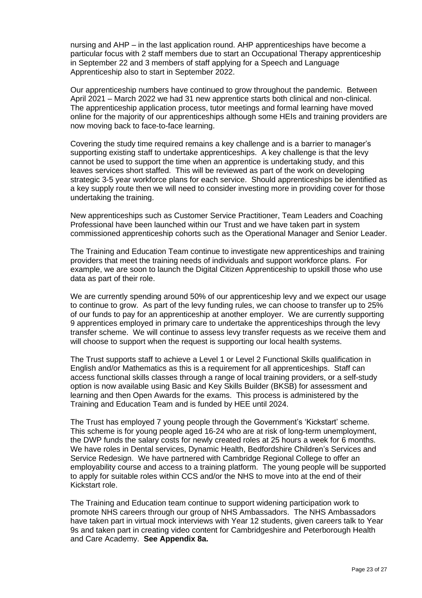nursing and AHP – in the last application round. AHP apprenticeships have become a particular focus with 2 staff members due to start an Occupational Therapy apprenticeship in September 22 and 3 members of staff applying for a Speech and Language Apprenticeship also to start in September 2022.

Our apprenticeship numbers have continued to grow throughout the pandemic. Between April 2021 – March 2022 we had 31 new apprentice starts both clinical and non-clinical. The apprenticeship application process, tutor meetings and formal learning have moved online for the majority of our apprenticeships although some HEIs and training providers are now moving back to face-to-face learning.

Covering the study time required remains a key challenge and is a barrier to manager's supporting existing staff to undertake apprenticeships. A key challenge is that the levy cannot be used to support the time when an apprentice is undertaking study, and this leaves services short staffed. This will be reviewed as part of the work on developing strategic 3-5 year workforce plans for each service. Should apprenticeships be identified as a key supply route then we will need to consider investing more in providing cover for those undertaking the training.

New apprenticeships such as Customer Service Practitioner, Team Leaders and Coaching Professional have been launched within our Trust and we have taken part in system commissioned apprenticeship cohorts such as the Operational Manager and Senior Leader.

The Training and Education Team continue to investigate new apprenticeships and training providers that meet the training needs of individuals and support workforce plans. For example, we are soon to launch the Digital Citizen Apprenticeship to upskill those who use data as part of their role.

We are currently spending around 50% of our apprenticeship levy and we expect our usage to continue to grow. As part of the levy funding rules, we can choose to transfer up to 25% of our funds to pay for an apprenticeship at another employer. We are currently supporting 9 apprentices employed in primary care to undertake the apprenticeships through the levy transfer scheme. We will continue to assess levy transfer requests as we receive them and will choose to support when the request is supporting our local health systems.

The Trust supports staff to achieve a Level 1 or Level 2 Functional Skills qualification in English and/or Mathematics as this is a requirement for all apprenticeships. Staff can access functional skills classes through a range of local training providers, or a self-study option is now available using Basic and Key Skills Builder (BKSB) for assessment and learning and then Open Awards for the exams. This process is administered by the Training and Education Team and is funded by HEE until 2024.

The Trust has employed 7 young people through the Government's 'Kickstart' scheme. This scheme is for young people aged 16-24 who are at risk of long-term unemployment, the DWP funds the salary costs for newly created roles at 25 hours a week for 6 months. We have roles in Dental services, Dynamic Health, Bedfordshire Children's Services and Service Redesign. We have partnered with Cambridge Regional College to offer an employability course and access to a training platform. The young people will be supported to apply for suitable roles within CCS and/or the NHS to move into at the end of their Kickstart role.

The Training and Education team continue to support widening participation work to promote NHS careers through our group of NHS Ambassadors. The NHS Ambassadors have taken part in virtual mock interviews with Year 12 students, given careers talk to Year 9s and taken part in creating video content for Cambridgeshire and Peterborough Health and Care Academy. **See Appendix 8a.**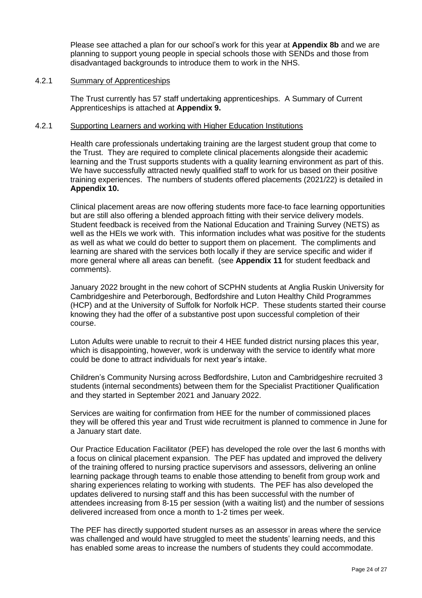Please see attached a plan for our school's work for this year at **Appendix 8b** and we are planning to support young people in special schools those with SENDs and those from disadvantaged backgrounds to introduce them to work in the NHS.

#### 4.2.1 Summary of Apprenticeships

The Trust currently has 57 staff undertaking apprenticeships. A Summary of Current Apprenticeships is attached at **Appendix 9.**

#### 4.2.1 Supporting Learners and working with Higher Education Institutions

Health care professionals undertaking training are the largest student group that come to the Trust. They are required to complete clinical placements alongside their academic learning and the Trust supports students with a quality learning environment as part of this. We have successfully attracted newly qualified staff to work for us based on their positive training experiences. The numbers of students offered placements (2021/22) is detailed in **Appendix 10.**

Clinical placement areas are now offering students more face-to face learning opportunities but are still also offering a blended approach fitting with their service delivery models. Student feedback is received from the National Education and Training Survey (NETS) as well as the HEIs we work with. This information includes what was positive for the students as well as what we could do better to support them on placement. The compliments and learning are shared with the services both locally if they are service specific and wider if more general where all areas can benefit. (see **Appendix 11** for student feedback and comments).

January 2022 brought in the new cohort of SCPHN students at Anglia Ruskin University for Cambridgeshire and Peterborough, Bedfordshire and Luton Healthy Child Programmes (HCP) and at the University of Suffolk for Norfolk HCP. These students started their course knowing they had the offer of a substantive post upon successful completion of their course.

Luton Adults were unable to recruit to their 4 HEE funded district nursing places this year, which is disappointing, however, work is underway with the service to identify what more could be done to attract individuals for next year's intake.

Children's Community Nursing across Bedfordshire, Luton and Cambridgeshire recruited 3 students (internal secondments) between them for the Specialist Practitioner Qualification and they started in September 2021 and January 2022.

Services are waiting for confirmation from HEE for the number of commissioned places they will be offered this year and Trust wide recruitment is planned to commence in June for a January start date.

Our Practice Education Facilitator (PEF) has developed the role over the last 6 months with a focus on clinical placement expansion. The PEF has updated and improved the delivery of the training offered to nursing practice supervisors and assessors, delivering an online learning package through teams to enable those attending to benefit from group work and sharing experiences relating to working with students. The PEF has also developed the updates delivered to nursing staff and this has been successful with the number of attendees increasing from 8-15 per session (with a waiting list) and the number of sessions delivered increased from once a month to 1-2 times per week.

The PEF has directly supported student nurses as an assessor in areas where the service was challenged and would have struggled to meet the students' learning needs, and this has enabled some areas to increase the numbers of students they could accommodate.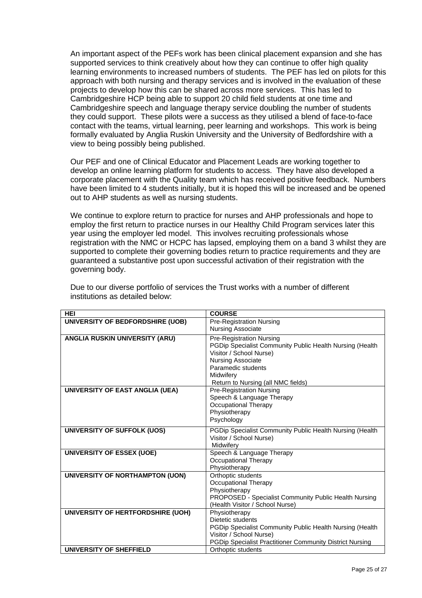An important aspect of the PEFs work has been clinical placement expansion and she has supported services to think creatively about how they can continue to offer high quality learning environments to increased numbers of students. The PEF has led on pilots for this approach with both nursing and therapy services and is involved in the evaluation of these projects to develop how this can be shared across more services. This has led to Cambridgeshire HCP being able to support 20 child field students at one time and Cambridgeshire speech and language therapy service doubling the number of students they could support. These pilots were a success as they utilised a blend of face-to-face contact with the teams, virtual learning, peer learning and workshops. This work is being formally evaluated by Anglia Ruskin University and the University of Bedfordshire with a view to being possibly being published.

Our PEF and one of Clinical Educator and Placement Leads are working together to develop an online learning platform for students to access. They have also developed a corporate placement with the Quality team which has received positive feedback. Numbers have been limited to 4 students initially, but it is hoped this will be increased and be opened out to AHP students as well as nursing students.

We continue to explore return to practice for nurses and AHP professionals and hope to employ the first return to practice nurses in our Healthy Child Program services later this year using the employer led model. This involves recruiting professionals whose registration with the NMC or HCPC has lapsed, employing them on a band 3 whilst they are supported to complete their governing bodies return to practice requirements and they are guaranteed a substantive post upon successful activation of their registration with the governing body.

| <b>HEI</b>                        | <b>COURSE</b>                                                   |
|-----------------------------------|-----------------------------------------------------------------|
| UNIVERSITY OF BEDFORDSHIRE (UOB)  | <b>Pre-Registration Nursing</b>                                 |
|                                   | <b>Nursing Associate</b>                                        |
| ANGLIA RUSKIN UNIVERSITY (ARU)    | <b>Pre-Registration Nursing</b>                                 |
|                                   | PGDip Specialist Community Public Health Nursing (Health        |
|                                   | Visitor / School Nurse)                                         |
|                                   | <b>Nursing Associate</b>                                        |
|                                   | Paramedic students                                              |
|                                   | Midwifery                                                       |
|                                   | Return to Nursing (all NMC fields)                              |
| UNIVERSITY OF EAST ANGLIA (UEA)   | <b>Pre-Registration Nursing</b>                                 |
|                                   | Speech & Language Therapy                                       |
|                                   | <b>Occupational Therapy</b><br>Physiotherapy                    |
|                                   | Psychology                                                      |
|                                   |                                                                 |
| UNIVERSITY OF SUFFOLK (UOS)       | PGDip Specialist Community Public Health Nursing (Health        |
|                                   | Visitor / School Nurse)                                         |
|                                   | Midwifery                                                       |
| <b>UNIVERSITY OF ESSEX (UOE)</b>  | Speech & Language Therapy                                       |
|                                   | Occupational Therapy<br>Physiotherapy                           |
| UNIVERSITY OF NORTHAMPTON (UON)   | Orthoptic students                                              |
|                                   | <b>Occupational Therapy</b>                                     |
|                                   | Physiotherapy                                                   |
|                                   | PROPOSED - Specialist Community Public Health Nursing           |
|                                   | (Health Visitor / School Nurse)                                 |
| UNIVERSITY OF HERTFORDSHIRE (UOH) | Physiotherapy                                                   |
|                                   | Dietetic students                                               |
|                                   | PGDip Specialist Community Public Health Nursing (Health        |
|                                   | Visitor / School Nurse)                                         |
|                                   | <b>PGDip Specialist Practitioner Community District Nursing</b> |
| UNIVERSITY OF SHEFFIELD           | Orthoptic students                                              |

Due to our diverse portfolio of services the Trust works with a number of different institutions as detailed below: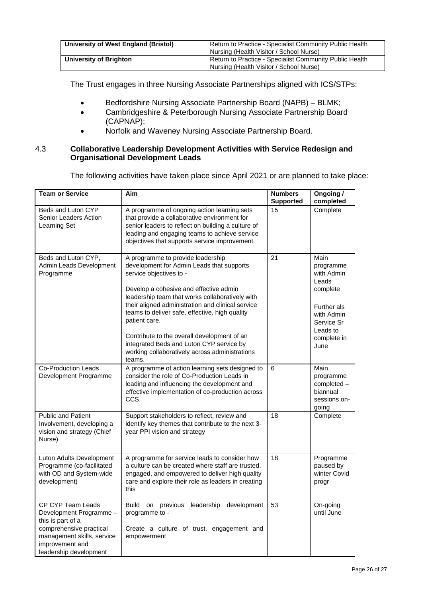| University of West England (Bristol) | Return to Practice - Specialist Community Public Health<br>Nursing (Health Visitor / School Nurse) |  |  |
|--------------------------------------|----------------------------------------------------------------------------------------------------|--|--|
| University of Brighton               | Return to Practice - Specialist Community Public Health<br>Nursing (Health Visitor / School Nurse) |  |  |

The Trust engages in three Nursing Associate Partnerships aligned with ICS/STPs:

- Bedfordshire Nursing Associate Partnership Board (NAPB) BLMK;
- Cambridgeshire & Peterborough Nursing Associate Partnership Board (CAPNAP);
- Norfolk and Waveney Nursing Associate Partnership Board.

#### 4.3 **Collaborative Leadership Development Activities with Service Redesign and Organisational Development Leads**

The following activities have taken place since April 2021 or are planned to take place:

| <b>Team or Service</b>                                                                                                                                                  | Aim                                                                                                                                                                                                                                                                                                                                                                                                                                                                                   | <b>Numbers</b><br><b>Supported</b> | Ongoing /<br>completed                                                                                                             |
|-------------------------------------------------------------------------------------------------------------------------------------------------------------------------|---------------------------------------------------------------------------------------------------------------------------------------------------------------------------------------------------------------------------------------------------------------------------------------------------------------------------------------------------------------------------------------------------------------------------------------------------------------------------------------|------------------------------------|------------------------------------------------------------------------------------------------------------------------------------|
| Beds and Luton CYP<br>Senior Leaders Action<br>Learning Set                                                                                                             | A programme of ongoing action learning sets<br>that provide a collaborative environment for<br>senior leaders to reflect on building a culture of<br>leading and engaging teams to achieve service<br>objectives that supports service improvement.                                                                                                                                                                                                                                   | 15                                 | Complete                                                                                                                           |
| Beds and Luton CYP,<br>Admin Leads Development<br>Programme                                                                                                             | A programme to provide leadership<br>development for Admin Leads that supports<br>service objectives to -<br>Develop a cohesive and effective admin<br>leadership team that works collaboratively with<br>their aligned administration and clinical service<br>teams to deliver safe, effective, high quality<br>patient care.<br>Contribute to the overall development of an<br>integrated Beds and Luton CYP service by<br>working collaboratively across administrations<br>teams. | 21                                 | Main<br>programme<br>with Admin<br>Leads<br>complete<br>Further als<br>with Admin<br>Service Sr<br>Leads to<br>complete in<br>June |
| Co-Production Leads<br>Development Programme                                                                                                                            | A programme of action learning sets designed to<br>consider the role of Co-Production Leads in<br>leading and influencing the development and<br>effective implementation of co-production across<br>CCS.                                                                                                                                                                                                                                                                             | 6                                  | Main<br>programme<br>completed -<br>biannual<br>sessions on-<br>going                                                              |
| <b>Public and Patient</b><br>Involvement, developing a<br>vision and strategy (Chief<br>Nurse)                                                                          | Support stakeholders to reflect, review and<br>identify key themes that contribute to the next 3-<br>year PPI vision and strategy                                                                                                                                                                                                                                                                                                                                                     | 18                                 | Complete                                                                                                                           |
| Luton Adults Development<br>Programme (co-facilitated<br>with OD and System-wide<br>development)                                                                        | A programme for service leads to consider how<br>a culture can be created where staff are trusted,<br>engaged, and empowered to deliver high quality<br>care and explore their role as leaders in creating<br>this                                                                                                                                                                                                                                                                    | 18                                 | Programme<br>paused by<br>winter Covid<br>progr                                                                                    |
| CP CYP Team Leads<br>Development Programme -<br>this is part of a<br>comprehensive practical<br>management skills, service<br>improvement and<br>leadership development | Build on previous leadership development<br>programme to -<br>Create a culture of trust, engagement and<br>empowerment                                                                                                                                                                                                                                                                                                                                                                | 53                                 | On-going<br>until June                                                                                                             |